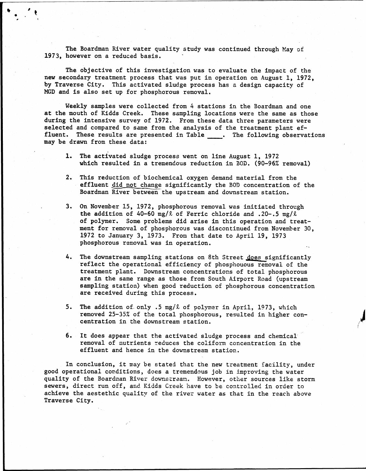The Boardman River water quality study was continued through May of 1973, however on a reduced basis. '

The objective of this investigation was to evaluate the impact of the new secondary treatment process that was put in operation on August 1, 1972, by Traverse City. This activated sludge process has a design capacity of MGD and is also set up for phosphorous removal.

Weekly samples were collected from 4 stations in the Boardman and one at the mouth of Kidds Creek. These sampling locations were the same as those during the intensive survey of 1972. From these data three parameters were selected and compared to same from the analysis of the treatment plant effluent. These results are presented in Table \_\_\_\_. The following observations may be drawn from these data:

- 1. The activated sludge process went on line August 1, 1972 which resulted in a tremendous reduction in BOD. (90-96% removal)
- 2. This reduction of biochemical oxygen demand material from the effluent did not change significantly the BOD concentration of the Boardman River between the upstream and downstream station.
- 3. On November 15, 1972, phosphorous removal was initiated through the addition of 40-60 mg/ $\ell$  of Ferric chloride and .20-.5 mg/ $\ell$ of polymer. Some problems did arise in this operation and treatment for removal of phosphorous was discontinued from November 30, 1972 to January 3, 1973. From that date to April 19, 1973 phosphorous removal was in operation.
- 4. The downstream sampling stations on 8th Street does significantly reflect the operational efficiency of phospnouous removal of the treatment plant. Downstream concentrations of total phosphorous are in the same range as those from South Airport Road (upstream sampling station) when good reduction of phosphorous concentration are received during this process.
- 5. The addition of only .5 mg/ $\ell$  of polymer in April, 1973, which removed 25-35% of the total phosphorous, resulted in higher concentration in the downstream station.
- 6. It does appear that the activated sludge process and chemical removal of nutrients reduces the coliform concentration in the effluent and hence in the downstream station.

In conclusion, it may be stated that the new treatment facility, under good operational conditions, does a tremendous job in improving the water quality of the Boardman River downstream. However, other sources like storm sewers, direct run off, and Kidds Creek have to be controlled in order to achieve the aestethlc quality of the river water as that in the reach above Traverse City.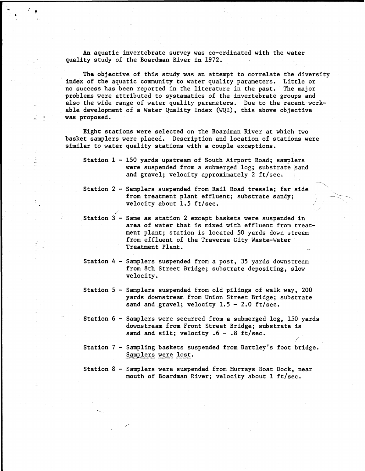An aquatic invertebrate survey was co-ordinated with the water quality study of the Boardman River in 1972.

The objective of this study was an attempt to correlate the diversity index of the aquatic community to water quality parameters. Little or no success has been reported in the literature in the past. The major problems were attributed to systamatics of the invertebrate groups and also the wide range of water quality parameters. Due to the recent workable development of a Water Quality Index (WQI), this above objective was proposed.

Eight stations were selected on the Boardman River at which two basket samplers were placed. Description and location of stations were similar to water quality stations with a couple exceptions.

군 (주

- Station 2 Samplers suspended from Rail Road tressle; far side from treatment plant effluent; substrate sandy; velocity about 1.5 ft/sec.
- Station 3 Same as station 2 except baskets were suspended in area of water that is mixed with effluent from treatment plant; station is located 50 yards down stream from effluent of the Traverse City Waste-Water Treatment Plant.
- Station 4 Samplers suspended from a post, 35 yards downstream from 8th Street Bridge; substrate depositing, slow velocity.
- Station 5 Samplers suspended from old pilings of walk way, 200 yards downstream from Union Street Bridge; substrate sand and gravel; velocity  $1.5 - 2.0$  ft/sec.
- Station 6 Samplers were securred from a submerged log, 150 yards downstream from Front Street Bridge; substrate is sand and silt; velocity  $.6 - .8$  ft/sec.
- Station 7 Sampling baskets suspended from Bartley's foot bridge. Samplers were lost.
- Station 8 Samplers were suspended from Murrays Boat Dock, near mouth of Boardman River; velocity about 1 ft/sec.

Station 1 - 150 yards upstream of South Airport Road; samplers were suspended from a submerged log; substrate sand and gravel; velocity approximately 2 ft/sec. i . $\overline{\phantom{a}}$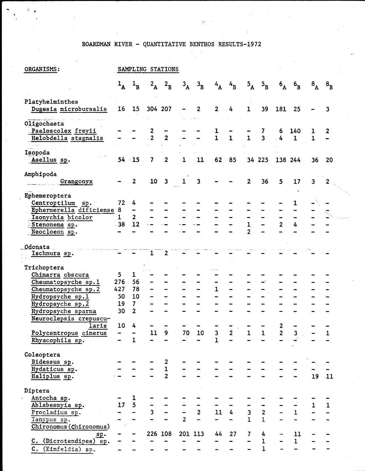## BOARDMAN RIVER - QUANTITATIVE BENTHOS RESULTS-1972

| ORGANISMS:                                   |                  |                                                  |                | SAMPLING STATIONS                          |                |                |                |                |                         |                                       |                  |                    |              |                |
|----------------------------------------------|------------------|--------------------------------------------------|----------------|--------------------------------------------|----------------|----------------|----------------|----------------|-------------------------|---------------------------------------|------------------|--------------------|--------------|----------------|
|                                              |                  | $1_A$ $1_B$                                      | $2_{\rm A}$    | $2_{\rm B}$                                | $3_{\text{A}}$ | $3_{\text{B}}$ | $4_{\rm A}$    | $4_B$          | $5_{\text{A}}$          | $5\text{B}$                           | $6_{\text{A}}$   | $6\mathbf{B}$      | 8A           | $8_{\text{B}}$ |
| Platyhelminthes                              |                  |                                                  |                |                                            |                |                |                |                |                         |                                       |                  |                    |              |                |
| Dugesia microbursalis                        |                  | 16 15                                            |                | 304 207                                    |                | $\overline{2}$ | $\overline{2}$ | 4              | $\mathbf{1}$            | 39                                    | 181              | 25                 |              | 3              |
| Oligochaeta                                  |                  |                                                  |                |                                            |                |                |                |                |                         |                                       |                  |                    |              |                |
| Pseloscolex freyii                           |                  |                                                  | $\frac{2}{2}$  | $\overline{2}$                             |                |                | $\frac{1}{1}$  | $\mathbf{1}$   | $\overline{1}$          | 7<br>$\overline{\mathbf{3}}$          | 6                | 140                |              | 2              |
| Helobdella stagnalis                         |                  |                                                  |                |                                            |                |                |                |                |                         |                                       | $\overline{4}$   | $\mathbf{1}$       | $\mathbf{1}$ |                |
| Isopoda                                      |                  |                                                  |                |                                            |                |                |                |                |                         |                                       |                  |                    |              |                |
| Asellus sp.                                  |                  | $54 - 15$                                        | $\overline{7}$ | $\mathbf{2}$                               | 1              | 11             |                | 62 85          |                         | 34 225                                |                  | 138 244            | 36           | 20             |
| Amphipoda                                    |                  |                                                  |                |                                            |                |                |                |                |                         |                                       |                  |                    |              |                |
| Grangonyx                                    |                  | $\overline{2}$                                   | 10             | $\mathbf{3}$                               |                | 3              |                |                | $\overline{2}$          | 36                                    | 5                | 17                 | 3            | 2              |
| Ephemeroptera                                |                  |                                                  |                |                                            |                |                |                |                |                         |                                       |                  |                    |              |                |
| Centroptilum sp.                             | 72 <sub>2</sub>  | 4                                                |                |                                            |                |                |                |                |                         |                                       |                  | 1                  |              |                |
| Ephermerella dificiense<br>Isonychia bicolor | 8<br>$\mathbf 1$ | $\qquad \qquad \blacksquare$<br>$\boldsymbol{2}$ |                |                                            |                |                |                |                |                         |                                       |                  |                    |              |                |
| Stenonema sp.                                | $-38$            | 12                                               |                |                                            |                |                |                |                |                         |                                       | $\overline{2}$   | 4                  |              |                |
| Neocloeon sp.                                |                  |                                                  |                |                                            |                |                |                |                | 2                       |                                       |                  |                    |              |                |
| Odonata                                      |                  |                                                  |                |                                            |                |                |                |                |                         |                                       |                  |                    |              |                |
| Ischnura sp.                                 |                  |                                                  | $\mathbf{1}$   | 2                                          |                |                |                |                |                         |                                       |                  |                    |              |                |
|                                              |                  |                                                  |                |                                            |                |                |                |                |                         |                                       |                  |                    |              |                |
| Trichoptera                                  |                  |                                                  |                |                                            |                |                |                |                |                         |                                       |                  |                    |              |                |
| Chimarra obscura<br>Cheumatopsyche sp.1      | 5<br>276         | $\mathbf{1}$<br>56                               |                |                                            |                |                |                |                |                         |                                       |                  |                    |              |                |
| Cheumatopsyche sp.2                          | 427              | 78                                               |                |                                            |                |                | $\mathbf{1}$   |                |                         |                                       |                  |                    |              |                |
| Hydropsyche sp.1                             | 50               | 10                                               |                |                                            |                |                |                |                |                         |                                       |                  |                    |              |                |
| Hydropsyche sp.2                             | 19               | $7\overline{ }$                                  |                |                                            |                |                |                |                |                         |                                       |                  |                    |              |                |
| Hydropsyche sparna                           | 30               | $\overline{2}$                                   |                |                                            |                |                |                |                |                         |                                       |                  |                    |              |                |
| Neuroclepsis crepuscu-                       |                  |                                                  |                |                                            |                |                |                |                |                         |                                       |                  |                    |              |                |
| laris                                        | 10               | 4                                                |                |                                            |                |                |                |                |                         |                                       | $\mathbf 2$      |                    |              |                |
| Polycentropus cinerus                        |                  |                                                  | 11             | 9                                          | 70             | 10             | $\mathbf{3}$   | $\mathbf{2}$   | 1                       | $\mathbf{1}$                          | $\boldsymbol{2}$ | 3                  |              | 1              |
| Rhyacophila sp.                              |                  | $\mathbf{1}$                                     |                |                                            |                |                | $\mathbf{1}$   |                |                         |                                       |                  |                    |              |                |
| Coleoptera                                   |                  |                                                  |                |                                            |                |                |                |                |                         |                                       |                  |                    |              |                |
| Bidessus sp.                                 |                  |                                                  |                |                                            |                |                |                |                |                         |                                       |                  |                    |              |                |
| Hydaticus sp.                                |                  |                                                  |                | $\begin{array}{c} 2 \\ 1 \\ 2 \end{array}$ |                |                |                |                |                         |                                       |                  |                    |              |                |
| Haliplus sp.                                 |                  |                                                  |                |                                            |                |                |                |                |                         |                                       |                  |                    | 19           | 11             |
| Diptera                                      |                  |                                                  |                |                                            |                |                |                |                |                         |                                       |                  |                    |              |                |
| Antocha sp.                                  |                  | 1                                                |                |                                            |                |                |                |                |                         |                                       |                  |                    |              |                |
| Ablabesmyia sp.                              | 17               | 5                                                |                |                                            |                |                |                |                |                         |                                       |                  |                    | $\mathbf{1}$ | 1              |
| Procladius sp.                               |                  |                                                  | $\overline{3}$ |                                            |                | $\overline{2}$ | 11             | 4 <sup>1</sup> | $\overline{\mathbf{3}}$ | $\begin{array}{c} 2 \\ 1 \end{array}$ |                  | $\mathbf{1}$       |              |                |
| Tanypus sp.                                  |                  |                                                  |                |                                            | $\overline{2}$ |                |                |                | $\mathbf{1}$            |                                       |                  |                    |              |                |
| Chironomus (Chironomus)                      |                  |                                                  |                | 226 108                                    | 201 113        |                | 44             | 27             |                         | 4                                     |                  |                    |              |                |
| sp.<br>C. (Dicrotendipes) sp.                |                  |                                                  |                |                                            |                |                |                |                | 7                       | $\mathbf 1$                           |                  | 11<br>$\mathbf{I}$ |              |                |
| C. (Einfeldia) sp.                           |                  |                                                  |                |                                            |                |                |                |                |                         | $\overline{1}$                        |                  |                    |              |                |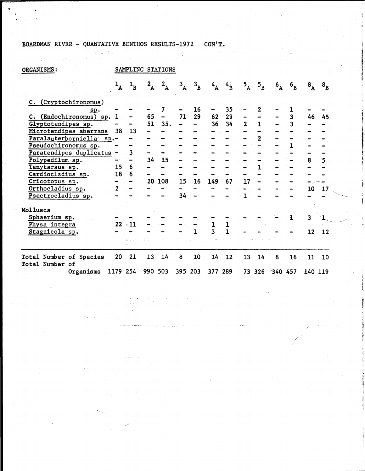## BOARDMAN RIVER - QUANTATIVE BENTHOS RESULTS-1972 CON'T.

 $\label{eq:2.1} \begin{array}{l} \left( \rho_{\text{max}} \right) \rightarrow \left( \rho_{\text{max}} \right) \rightarrow \left( \rho_{\text{max}} \right) \\ \left( \rho_{\text{max}} \right) \rightarrow \left( \rho_{\text{max}} \right) \rightarrow \left( \rho_{\text{max}} \right) \rightarrow \left( \rho_{\text{max}} \right) \end{array}$ 

ist.

 $\sim$ 

| ORGANISMS:                                 |                |                           |                 | SAMPLING STATIONS |             |                |                         |              |                |              |                |              |                           |                |  |
|--------------------------------------------|----------------|---------------------------|-----------------|-------------------|-------------|----------------|-------------------------|--------------|----------------|--------------|----------------|--------------|---------------------------|----------------|--|
|                                            |                | $\mathbf{1}_{\mathbf{B}}$ | $2_{\rm A}$     | 2A                | $3\text{Å}$ | $3_{\text{B}}$ | $4\text{A}$             | $4_B$        | $5^{\text{A}}$ | $5\,\rm B}$  | $6_{\text{A}}$ | $6_{\rm B}$  | $\mathbf{8}_{\mathbf{A}}$ | $8_{\text{B}}$ |  |
| C. (Cryptochironomus)                      |                |                           |                 |                   |             |                |                         |              |                |              |                |              |                           |                |  |
| $s_{\mathbf{p}}.$                          |                |                           |                 | 7                 |             | 16             |                         | 35           |                |              |                |              |                           |                |  |
| C. (Endochironomus) sp. 1                  |                |                           | 65              | $\frac{1}{2}$     | 71          | $29 -$         | 62                      | 29           |                |              |                | $\mathbf{3}$ | 46                        | 45             |  |
| Glyptotendipes sp.                         |                |                           | 51              | 35.               |             |                | 36                      | 34           | $\overline{2}$ | $\mathbf{1}$ |                | 3            |                           |                |  |
| Microtendipes aberrans                     | 38             | 13                        |                 |                   |             |                |                         |              |                |              |                |              |                           |                |  |
| Paralauterborniella sp.-                   |                |                           |                 |                   |             |                |                         |              |                |              |                |              |                           |                |  |
| Pseudochironomus sp.                       |                |                           |                 |                   |             |                |                         |              |                |              |                |              |                           |                |  |
| Paratendipes duplicatus -                  |                | 3                         |                 |                   |             |                |                         |              |                |              |                |              |                           |                |  |
| Polypedilum sp.                            |                |                           | 34 <sup>°</sup> | 15                |             |                |                         |              |                |              |                |              | 8                         | 5              |  |
| Tanytarsus sp.                             | 15             | 6                         |                 |                   |             |                |                         |              |                |              |                |              |                           |                |  |
| Cardiocladius sp.                          | 18             | 6                         |                 |                   |             |                |                         |              |                |              |                |              |                           |                |  |
| Cricotopus sp.                             |                |                           |                 | 20 108            | 15          | 16             | 149                     | 67           | 17             |              |                |              |                           |                |  |
| Orthocladius sp.                           | $\overline{2}$ |                           |                 |                   |             |                |                         |              |                |              |                |              | 10                        | 17             |  |
| Psectrocladius sp.                         |                |                           |                 |                   | 34          |                |                         |              |                |              |                |              |                           |                |  |
| Mollusca                                   |                |                           |                 |                   |             |                |                         |              |                |              |                |              |                           |                |  |
| Sphaerium sp.                              |                |                           |                 |                   |             |                |                         |              |                |              |                |              | 3                         |                |  |
| Physa integra                              | 22             | $\approx 11$ :            |                 |                   |             |                | 1                       | $\mathbf{1}$ |                |              |                |              |                           |                |  |
| Stagnicola sp.                             |                |                           |                 |                   |             |                | $\overline{\mathbf{3}}$ |              |                |              |                |              | 12                        | 12             |  |
|                                            |                | ತ ಎಲ್ಲ                    |                 |                   |             |                |                         |              |                |              |                |              |                           |                |  |
| Total Number of Species<br>Total Number of | 20             | 21                        | 13              | 14                | 8           | 10             | 14                      | 12           | 13             | 14           | 8              | 16           | 11                        | 10             |  |
| Organisms                                  | 1179 254       |                           |                 | 990 503           | 395 203     |                | 377 289                 |              |                |              | 73 326 340 457 |              | 140 119                   |                |  |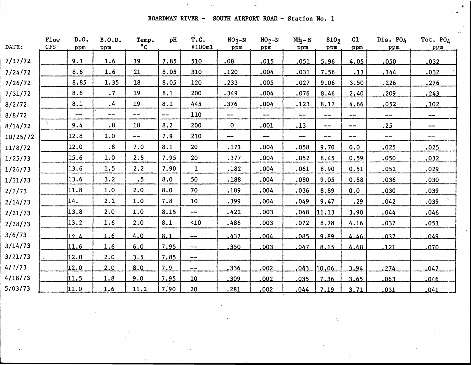BOARDMAN RIVER  $\frac{1}{x}$  SOUTH AIRPORT ROAD - Station No. 1

 $\hat{\mathbf{r}}$ 

 $\hat{\zeta}_{\rm obs}$ 

| DATE:    | Flow<br>CFS | D.0.<br>ppm | <b>B.O.D.</b><br>ppm | Temp.<br>$^{\circ}$ C | pH      | T.C.<br>#100ml           | $NO3 - N$<br>ppm       | $NO2-N$<br>ppm               | $NI_2-N$<br>ppm | \$10 <sub>2</sub><br>ppm   | C1<br>ppm              | Dis. PO4<br>ppm | Tot. $P0_4$<br>ppm     |
|----------|-------------|-------------|----------------------|-----------------------|---------|--------------------------|------------------------|------------------------------|-----------------|----------------------------|------------------------|-----------------|------------------------|
| 7/17/72  |             | 9.1         | 1.6                  | 19                    | 7.85    | 510                      | .08                    | .015                         | .051            | 5.96                       | 4.05                   | .050            | .032                   |
| 7/24/72  |             | 8.6         | 1.6                  | 21                    | 8.05    | 310                      | .120                   | .004                         | .031            | 7.56                       | .13                    | .144            | .032                   |
| 7/26/72  |             | 8.85        | 1.35                 | 18                    | 8.05    | 120                      | .233                   | .005                         | .027            | 9.06                       | 3.50                   | .226            | .276                   |
| 7/31/72  |             | 8.6         | $\cdot$ 7            | 19                    | 8.1     | 200                      | .349                   | .004                         | .076            | 8.46                       | 2.40                   | .209            | .243                   |
| 8/2/72   |             | 8.1         | $\ddot{.}4$          | 19                    | 8.1     | 445                      | .376                   | .004                         | .123            | 8.17                       | 4.66                   | .052            | .102                   |
| 8/8/72   |             | $- -$       | $\qquad \qquad -$    | --                    | $-\! -$ | 110                      | --                     | $\qquad \qquad \blacksquare$ | --              | $\qquad \qquad \cdots$     | $\qquad \qquad \cdots$ | $-\!$ $\!-$     | $\sim$                 |
| 8/14/72  |             | 9.4         | $\cdot$ 8            | 18                    | 8.2     | 200                      | $\mathbf 0$            | .001                         | .13             | $\qquad \qquad \text{---}$ | --                     | .25             | $\qquad \qquad \cdots$ |
| 10/25/72 |             | 12.8        | 1.0                  | $-$                   | 7.9     | $210 -$                  | $\qquad \qquad \cdots$ | $\qquad \qquad \cdots$       | ---             | --                         | $- -$                  | $-\!$ $\!-$     | $\cdots$               |
| 11/8/72  |             | 12.0        | .8                   | 7.0                   | 8.1     | 20                       | .171                   | .004                         | .058            | 9.70                       | 0.0                    | .025            | .025                   |
| 1/25/73  |             | 15.6        | 1.0                  | 2.5                   | 7.95    | 20                       | .377                   | .004                         | .052            | 8.45                       | 0.59                   | .050            | .032                   |
| 1/26/73  |             | 13.6        | 1.5                  | 2.2                   | 7.90    | $\mathbf{1}$             | .182                   | .004                         | .061            | 8.90                       | 0.51                   | .052            | .029                   |
| 1/31/73  |             | 13.6        | 3.2                  | .5                    | 8.0     | 50                       | .188                   | .004                         | .080            | 9.05                       | 0.88                   | .036            | .030                   |
| 2/7/73   |             | 11.8        | 1.0                  | 2.0                   | 8.0     | 70                       | .189                   | .004                         | .036            | 8.89                       | 0.0                    | .030            | .039                   |
| 2/14/73  |             | 14.         | 2.2                  | 1.0                   | 7.8     | 10                       | .399                   | .004                         | .049            | 9.47                       | .29                    | .042            | .039                   |
| 2/21/73  |             | 13.8        | 2.0                  | 1.0                   | 8.15    | --                       | .422                   | .003                         | .048            | 11.13                      | 3.90                   | .044            | .046                   |
| 2/28/73  |             | 13.2        | 1.6                  | 2.0                   | 8.1     | $10$                     | .486                   | .003                         | .072            | 8.78                       | 4.16                   | .037            | .051                   |
| 3/6/73   |             | 12.4        | 1.6                  | 4.0                   | 8.1     | $-\! -$                  | 437                    | .004                         | 085             | 9.89                       | 4.46                   | 037             | 049                    |
| 3/14/73  |             | 11.6        | 1.6                  | 6.0                   | 7.95    | $\overline{\phantom{m}}$ | .350                   | .003                         | 047             | 8.15                       | 4.68                   | 121             | 070                    |
| 3/21/73  |             | 12.0        | 2.0                  | 3.5                   | 7.85    | $\frac{1}{2}$            |                        |                              |                 |                            |                        |                 |                        |
| 4/2/73   |             | 12.0        | 2.0                  | 8.0                   | 7.9     | $\sim$ $\sim$            | .336                   | .002                         | 043             | 110.06                     | 3.94                   | 274             | .047                   |
| 4/18/73  |             | 11.5        | 1.8                  | 9.0                   | 7.95    | 10 <sup>°</sup>          | .309                   | .002                         | 035             | 7.36                       | 3.65                   | .063            | .046                   |
| 5/03/73  |             | 11.0        | 1.6                  | 11.2                  | 7.90    | 20                       | 281                    | .002                         | 044             | 7.19                       | 3.71                   | .031            | .041                   |

 $\frac{1}{2}$ 

 $\mathcal{F}_{\mathbf{a}}$ 

÷,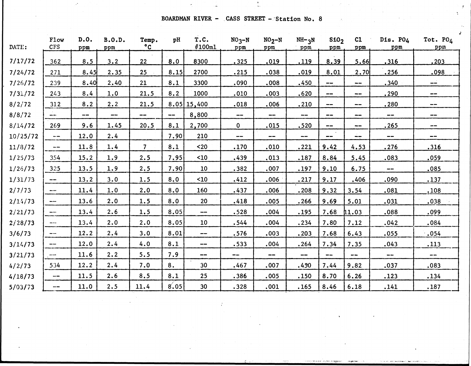BOARDMAN RIVER - CASS STREET - Station No. 8

 $\cdot$ 

 $\frac{1}{\lambda_{\rm m}}$ 

 $\Delta t = 0.1$ 

 $\mathcal{T}$ 

| DATE:    | Flow<br><b>CFS</b>       | D.0.<br>ppm   | B.0.D.<br>ppm | Temp.<br>$^{\circ}$ C | pH    | T.C.<br>#100ml           | $NO3 - N$<br>ppm       | $NO2-N$<br>ppm           | $NH - 3N$<br>ppm | \$10 <sub>2</sub><br>ppm | C1<br>ppm                | Dis. PO4<br>ppm | Tot. $POA$<br>ppm |
|----------|--------------------------|---------------|---------------|-----------------------|-------|--------------------------|------------------------|--------------------------|------------------|--------------------------|--------------------------|-----------------|-------------------|
| 7/17/72  | 362                      | 8.5           | 3.2           | 22                    | 8.0   | 8300                     | .325                   | .019                     | .119             | 8.39                     | 5.66                     | .316            | 203               |
| 7/24/72  | 271                      | 8.45          | 2.35          | 25                    | 8.15  | 2700                     | .215                   | .038                     | .019             | 8.01                     | 2.70                     | .256            | .098              |
| 7/26/72  | 239                      | 8.40          | 2.40          | 21                    | 8.1   | 3300                     | .090                   | .008                     | .450             | $\overline{\phantom{m}}$ | $\sim$                   | .340            | $\frac{1}{2}$     |
| 7/31/72  | 243                      | 8.4           | 1.0           | 21.5                  | 8.2   | 1000                     | .010                   | .003                     | .620             | --                       | $\rightarrow$            | .290            | $- -$             |
| 8/2/72   | 312                      | 8.2           | 2.2           | 21.5                  |       | $8.05$   15,400          | .018                   | .006                     | .210             | $\qquad \qquad \cdots$   | $\sim$ $\sim$            | .280            | $- -$             |
| 8/8/72   | um ani                   | $\frac{1}{2}$ | $- -$         | --                    | $- -$ | 8,800                    | $\qquad \qquad \cdots$ | $\overline{\phantom{a}}$ | ---              | $\qquad \qquad \cdots$   | $- -$                    | $\frac{1}{2}$   | --                |
| 8/14/72  | 269                      | 9.6           | 1.45          | 20.5                  | 8.1   | 2,700                    | $\mathbf 0$            | .015                     | .520             | $-\!$ $\!$               | $\sim$ $\sim$            | .265            | $\frac{1}{2}$     |
| 10/25/72 | $\cdots$                 | 12.0          | 2.4           |                       | 7.90  | 210                      | ---                    | $- -$                    | --               | $\qquad \qquad \cdots$   | ∸-                       | --              | $- -$             |
| 11/8/72  | $\overline{\phantom{m}}$ | 11.8          | 1.4           | $\overline{7}$        | 8.1   | $20$                     | .170                   | .010                     | .221             | 9.42                     | 4.53                     | .276            | .316              |
| 1/25/73  | 354                      | 15.2          | 1.9           | 2.5                   | 7.95  | $10$                     | .439                   | .013                     | .187             | 8.84                     | 5.45                     | .083            | .059              |
| 1/26/73  | 325                      | 13.5          | 1.9           | 2.5                   | 7.90  | 10                       | .382                   | .007                     | .197             | 9.10                     | 6.75                     | $\frac{1}{2}$   | .085              |
| 1/31/73  | $\frac{1}{2}$            | 13.2          | 3.0           | 1.5                   | 8.0   | $10$                     | .412                   | .006                     | .217             | 9.17                     | .406                     | .090            | .137              |
| 2/7/73   | $\frac{1}{2}$            | 11.4          | 1.0           | 2.0                   | 8.0   | 160                      | .437                   | .006                     | .208             | 9.32                     | 3.54                     | .081            | .108              |
| 2/14/73  | ---                      | 13.6          | 2.0           | 1.5                   | 8.0   | 20                       | .418                   | .005                     | .266             | 9.69                     | 5.01                     | .031            | .038              |
| 2/21/73  | --                       | 13.4          | 2.6           | 1.5                   | 8.05  | ---                      | .528                   | .004                     | .195             | 7.68                     | 11.03                    | .088            | .099              |
| 2/28/73  | <b>State Group</b>       | 13.4          | 2.0           | 2.0                   | 8.05  | 10                       | .544                   | .004                     | .234             | 7.80                     | 7.12                     | .042            | .084              |
| 3/6/73   | $\cdots$                 | 12.2          | 2.4           | 3.0                   | 8.01  | $\overline{\phantom{m}}$ | .576                   | .003                     | .203             | 7.68                     | 6.43                     | .055            | .054              |
| 3/14/73  | $\cdots$                 | 12.0          | 2.4           | 4.0                   | 8.1   | $\cdots$                 | .533                   | .004                     | .264             | 7.34                     | 7.35                     | .043            | .113              |
| 3/21/73  | $\cdots$                 | 11.6          | 2.2           | 5.5                   | 7.9   | $\frac{1}{2}$            | $\blacksquare$         | $\sim$ $-$               | $- -$            | $- -$                    | $\overline{\phantom{m}}$ | --              | $\pmb{\cdots}$    |
| 4/2/73   | 534                      | 12.2          | 2.4           | 7.0                   | 8.    | 30                       | .467                   | .007                     | .450             | 7.44                     | 9.82                     | .037            | .083              |
| 4/18/73  | $\cdots$ $\cdots$        | 11.5          | 2.6           | 8.5                   | 8.1   | 25                       | .386                   | .005                     | .150             | 8.70                     | 6.26                     | .123            | .134              |
| 5/03/73  | $- -$                    | 11.0          | 2.5           | 11.4                  | 8,05  | 30                       | .328                   | .001                     | .165             | 8.46                     | 6.18                     | .141            | .187              |

 $\hat{I}$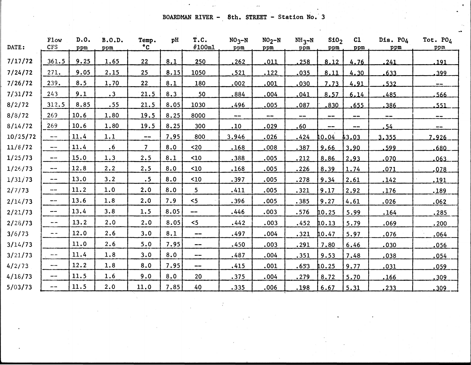BOARDMAN RIVER - 8th. STREET - Station No. 3

| DATE:    | Flow<br><b>CFS</b>                                                                             | D.0.<br>ppm | B.0.D.<br>ppm | Temp.<br>$^{\circ}$ C  | pH   | T.C.<br>#100ml           | $NO3 - N$<br>ppm | $NO2 - N$<br>ppm | $NH_{3}N$<br>ppm | \$10 <sub>2</sub><br>ppm | C1<br>ppm     | Dis. PO4<br>ppm          | Tot. $PO_4$<br>ppm       |
|----------|------------------------------------------------------------------------------------------------|-------------|---------------|------------------------|------|--------------------------|------------------|------------------|------------------|--------------------------|---------------|--------------------------|--------------------------|
| 7/17/72  | 361.5                                                                                          | 9.25        | 1.65          | 22                     | 8.1  | 250                      | .262             | .011             | .258             | 8.12                     | 4.76          | .241                     | .191                     |
| 7/24/72  | 271.                                                                                           | 9.05        | 2.15          | 25                     | 8.15 | 1050                     | .521             | .122             | .035             | 8.11                     | 4.30          | .633                     | .399                     |
| 7/26/72  | 239.                                                                                           | 8.5         | 1.70          | 22                     | 8.1  | 180                      | .002             | .001             | .030             | 7.73                     | 4.91          | .532                     | $-\!$ $\!-$              |
| 7/31/72  | 243                                                                                            | 9.1         | $\cdot$ 3     | 21.5                   | 8.3  | 50                       | .884             | .004             | .041             | 8.57                     | 6.14          | .485                     | 566.                     |
| 8/2/72   | 312.5                                                                                          | 8.85        | .55           | 21.5                   | 8.05 | 1030                     | .496             | .005             | .087             | .830                     | .655          | .386                     | .551                     |
| 8/8/72   | 269                                                                                            | 10.6        | 1.80          | 19.5                   | 8.25 | 8000                     | ---              | --               | $\frac{1}{2}$    | $\frac{1}{2}$            | $-\!$ $\!-$   | $\overline{\phantom{m}}$ | $\overline{\phantom{m}}$ |
| 8/14/72  | 269                                                                                            | 10.6        | 1.80          | 19.5                   | 8.25 | 300                      | .10              | .029             | .60              | $\cdots$ $\cdots$        | $\frac{1}{2}$ | .54                      | $\sim$ $\sim$            |
| 10/25/72 | ---                                                                                            | 11.4        | 1.1           | $\qquad \qquad \cdots$ | 7.95 | 800                      | 3.946            | .026             | .424             | 10.04                    | 43.03         | 3.355                    | 7.926                    |
| 11/8/72  | --                                                                                             | 11.4        | $\cdot$ 6     | 7 <sup>7</sup>         | 8.0  | $20$                     | .168             | .008             | .387             | 9,66                     | 3,90          | .599                     | 680                      |
| 1/25/73  | ---                                                                                            | 15.0        | 1.3           | 2.5                    | 8.1  | $10$                     | .388             | .005             | .212             | 8.86                     | 2,93          | .070                     | .063                     |
| 1/26/73  | $\overline{\phantom{a}}$                                                                       | 12.8        | 2.2           | 2.5                    | 8.0  | $10$                     | .168             | .005             | .226             | 8.39                     | 1.74          | .071                     | 078                      |
| 1/31/73  | $\frac{1}{2}$                                                                                  | 13.0        | 3.2           | .5                     | 8.0  | 10 <sub>10</sub>         | .397             | .005             | .278             | 9.34                     | 2.61          | .142                     | .191                     |
| 2/7/73   | ---                                                                                            | 11.2        | 1.0           | 2.0                    | 8.0  | 5 <sub>5</sub>           | .411             | .005             | .321             | 9.17                     | 2.92          | .176                     | .189                     |
| 2/14/73  | te en                                                                                          | 13.6        | 1.8           | 2.0                    | 7.9  | 5<                       | .396             | .005             | .385             | 9.27                     | 4.61          | .026                     | .062                     |
| 2/21/73  | --                                                                                             | 13.4        | 3.8           | 1.5                    | 8.05 | $\frac{1}{2}$            | .446             | .003             | .576             | 10.25                    | 5.99          | .164                     | .285                     |
| 2/28/73  | $\frac{1}{2} \left( \frac{1}{2} \right) \left( \frac{1}{2} \right) \left( \frac{1}{2} \right)$ | 13.2        | 2.0           | 2.0                    | 8.05 | $<$ 5                    | .442             | .003             | .452             | 10.13                    | 5.79          | .069                     | .200                     |
| 3/6/73   | an an                                                                                          | 12.0        | 2.6           | 3.0                    | 8.1  | $- -$                    | .497             | .004             | .321             | 10.47                    | 5.97          | .076                     | .064                     |
| 3/14/73  |                                                                                                | 11.0        | 2.6           | 5.0                    | 7.95 | $- -$                    | .450             | .003             | .291             | 7.80                     | 6.46          | .030                     | .056                     |
| 3/21/73  | $\sim$ $\sim$                                                                                  | 11.4        | 1.8           | 3.0                    | 8.0  | $\overline{\phantom{a}}$ | .487             | .004             | .351             | 9.53                     | 7.48          | .038                     | .054                     |
| 4/2/73   | ---                                                                                            | 12.2        | 1.8           | 8.0                    | 7.95 | $\frac{1}{2}$            | .415             | .001             | .653             | 10.25                    | 9.77          | .031                     | .059                     |
| 4/18/73  | $- -$                                                                                          | 11.5        | 1.6           | 9.0                    | 8.0  | 20                       | .375             | .004             | .279             | 8.72                     | 5.70          | .166                     | .309                     |
| 5/03/73  | --                                                                                             | 11.5        | 2.0           | 11.0                   | 7.85 | 40                       | .335             | .006             | .198             | 6.67                     | 5.31          | .233                     | .309                     |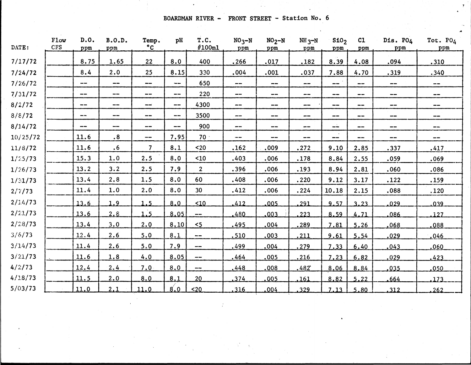BOARDMAN RIVER - FRONT STREET - Station No. 6

*At*

| DATE:    | Flow<br><b>CFS</b> | D.0.<br>ppm                  | <b>B.O.D.</b><br>ppm         | Temp.<br>$\degree$ C   | pH                       | T.C.<br>#100ml | $NO3 - N$<br>ppm                        | $NO2 - N$<br>ppm                | $NH_3-N$<br>ppm          | \$10 <sub>2</sub><br>ppm     | c1<br>ppm              | Dis. PO4<br>ppm          | Tot. PO4<br>ppm   |
|----------|--------------------|------------------------------|------------------------------|------------------------|--------------------------|----------------|-----------------------------------------|---------------------------------|--------------------------|------------------------------|------------------------|--------------------------|-------------------|
| 7/17/72  |                    | 8.75                         | 1.65                         | 22                     | 8.0                      | 400            | .266                                    | .017                            | .182                     | 8.39                         | 4.08                   | .094                     | .310              |
| 7/24/72  |                    | 8.4                          | 2.0                          | 25                     | 8.15                     | 330            | .004                                    | .001                            | .037                     | 7.88                         | 4.70                   | .319                     | .340              |
| 7/26/72  |                    | ---                          | $\overline{\phantom{m}}$     | $- -$                  | $\sim$ $\sim$            | 650            | $\cdots$                                | $-\!$ $\!-$                     | --                       | $\sim$ $\sim$                | we an                  | $\overline{\phantom{m}}$ | $\cdots$ $\cdots$ |
| 7/31/72  |                    | $-\!$ $\!-$                  | --                           | $\frac{1}{2}$          | $\overline{\phantom{m}}$ | 220            | $\hspace{0.05cm} \cdots$                | $- -$                           | --                       | $\qquad \qquad \blacksquare$ | $\qquad \qquad \cdots$ | $\overline{\phantom{m}}$ | $-\,-$            |
| 8/2/72   |                    | $\qquad \qquad \cdots$       | $\qquad \qquad \blacksquare$ | $\qquad \qquad \cdots$ | $-\!$ $\!-$              | 4300           | $\overline{\phantom{m}}$                | $\sim$ $\sim$                   | $- -$                    | $\qquad \qquad \blacksquare$ | --                     | $\qquad \qquad \cdots$   | --                |
| 8/8/72   |                    | $\cdots$                     | --                           | $- -$                  | $\sim$ $\sim$            | 3500           | $\overline{\phantom{a}}$                | $\qquad \qquad \  \  \, \cdots$ | ---                      | $\overline{\phantom{m}}$     | $\frac{1}{2}$          | $\sim$ $\sim$            | ---               |
| 8/14/72  |                    | $\qquad \qquad \blacksquare$ | ---                          | $- -$                  | $-\!$ $\!-$              | 900            | $\hspace{0.05cm}$ – $\hspace{0.05cm}$ – | $\sim$ $\sim$                   | $\overline{\phantom{m}}$ | $\div$                       | $\qquad \qquad -$      | $\qquad \qquad -$        | --                |
| 10/25/72 |                    | 11.6                         | .8                           | $-\!$ $\!-$            | 7.95                     | 70.5           | $\overline{\phantom{a}}$                | $-\!$ $\!-$                     | $- -$                    | $\frac{1}{2}$                | --                     | $-\!$ $\!-$              | --                |
| 11/8/72  |                    | 11.6                         | $\cdot 6$                    | $\overline{7}$         | 8.1                      | $20$           | .162                                    | .009                            | .272                     | 9.10                         | 2.85                   | .337                     | .417              |
| 1/25/73  |                    | 15.3                         | 1.0                          | 2.5                    | 8.0                      | $10$           | .403                                    | .006                            | .178                     | 8.84                         | 2.55                   | .059                     | .069              |
| 1/26/73  |                    | 13.2                         | 3.2                          | 2.5                    | 7.9                      | $\overline{2}$ | .396                                    | .006                            | .193                     | 8.94                         | 2.81                   | .060                     | .086              |
| 1/31/73  |                    | 13.4                         | 2.8                          | 1.5                    | 8.0                      | 60             | .408                                    | .006                            | .220                     | 9.12                         | 3.17                   | .122                     | .159              |
| 2/7/73   |                    | 11.4                         | 1.0                          | 2.0                    | 8.0                      | 30             | .412                                    | .006                            | .224                     | 10.18                        | 2.15                   | .088                     | .120              |
| 2/1.4/73 |                    | 13.6                         | 1.9                          | 1.5                    | 8.0                      | $10$           | 412                                     | .005                            | 291                      | 9.57                         | 3.23                   | 029                      | 039               |
| 2/21/73  |                    | 13.6                         | 2.8                          | 1.5                    | 8.05                     | $- -$          | 480                                     | .003                            | 223                      | 8.59                         | 4.71                   | .086                     | 127               |
| 2/28/73  |                    | 13.4                         | 3.0                          | 2.0                    | 8.10                     | $5$            | .495                                    | .004                            | .289                     | 7.81                         | 5.26                   | ,068                     | ,088              |
| 3/6/73   |                    | 12.4                         | 2.6                          | 5.0                    | 8.1                      | ---            | .510                                    | .003                            | .211                     | 9.61                         | 5.54                   | .029                     | .046              |
| 3/14/73  |                    | 11.4                         | 2.6                          | 5.0                    | 7.9                      | $- - -$        | .499                                    | .004                            | <u>.279</u>              | 7.33                         | 6.40                   | .043                     | .060              |
| 3/21/73  |                    | 11.6                         | 1.8                          | 4.0                    | 8.05                     | ---            | .464                                    | .005                            | .216                     | 7.23                         | 6.82                   | .029                     | .423              |
| 4/2/73   |                    | 12.4                         | 2.4                          | 7.0                    | 8.0                      | ---            | .448                                    | ,008                            | .482                     | 8,06                         | 8,84                   | .035                     | .050              |
| 4/18/73  |                    | 11.5                         | 2.0                          | 8.0                    | 8,1                      | 20             | ,374                                    | 005                             | .161                     | 8,82                         | 5.22                   | .664                     | .173              |
| 5/03/73  |                    | 11.0                         | 2,1                          | 11.0                   | 8.0                      | ~120           | .316                                    | 004                             | 329                      | 7.13                         | 5.80                   | .312                     | 262               |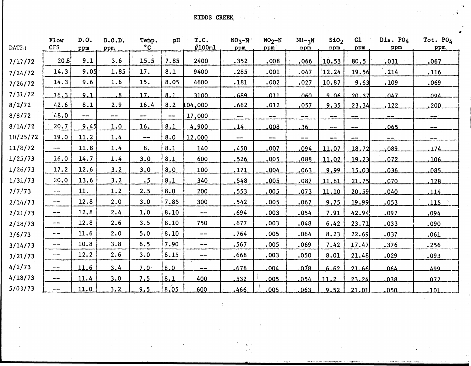KIDDS CREEK, Andrea State of the State of the State of the State of the State of the State of the State of the

 $\sim 10^7$ 

 $\mathcal{L}_{\mathcal{F}}$ 

*\**

| DATE:    | Flow<br><b>CFS</b> | D.0.<br>ppm | B.0.D.<br>ppm            | Temp.<br>$\circ$ <sub>C</sub> | pH    | T.C.<br>#100ml           | $NO3 - N$<br>ppm         | $NO2 - N$<br>ppm                     | $NH - 3N$<br>ppm | S10 <sub>2</sub><br>ppm | C1<br>ppm         | Dis. PO4<br>ppm | Tot. PO4<br>ppm          |
|----------|--------------------|-------------|--------------------------|-------------------------------|-------|--------------------------|--------------------------|--------------------------------------|------------------|-------------------------|-------------------|-----------------|--------------------------|
| 7/17/72  | 20.8               | 9.1         | 3.6                      | 15.5                          | 7.85  | 2400                     | .352                     | .008                                 | .066             | 10.53                   | 80.5              | .031            | .067                     |
| 7/24/72  | 14.3               | 9.05        | 1.85                     | 17.                           | 8.1   | 9400                     | .285                     | .001                                 | .047             | 12.24                   | 19.56             | .214            | .116                     |
| 7/26/72  | 14.3               | 9.6         | 1.6                      | 15.                           | 8.05  | 4600                     | .181                     | .002                                 | .027             | 10.87                   | 9.63              | .109            | .069                     |
| 7/31/72  | 16.3               | 9.1         | $\overline{8}$           | 17.                           | 8.1   | 3100                     | 689                      | 011                                  | 060              | 9.06                    | 20.37             | 047             | ىمەم                     |
| 8/2/72   | 42.6               | 8.1         | 2.9                      | 16.4                          | 8.2   | .04,000                  | .662                     | .012                                 | .057             | 9.35                    | 23.34             | .122            | .200                     |
| 8/8/72   | 48.0               | ---         | $\overline{\phantom{m}}$ | $\hspace{0.05cm} \ldots$      | $- -$ | 17,000                   | $\overline{\phantom{m}}$ | $\overline{\phantom{m}}$             | $- -$            | $\sim$ $\sim$           | $- -$             | $\frac{1}{2}$   | $\sim$                   |
| 8/14/72  | 20.7               | 9.45        | 1.0                      | 16.                           | 8.1   | 4,900                    | .14                      | .008                                 | .36              | $- -$                   | $\cdots$ $\cdots$ | .065            | $\frac{1}{2}$            |
| 10/25/72 | 19.0               | 11.2        | 1.4                      | $\frac{1}{2}$                 | 8.0   | 12,000                   | $\overline{\phantom{m}}$ | $\hspace{0.1mm}\ldots\hspace{0.1mm}$ | $\sim$ $\sim$    | --                      | --                | $- -$           | $\overline{\phantom{m}}$ |
| 11/8/72  | $- - -$            | 11.8        | 1.4                      | 8.                            | 8.1   | 140                      | 450                      | 007                                  | .094             | 11.07                   | 18.72             | 089             | 174                      |
| 1/25/73  | 1.6.0              | 14.7        | 1.4                      | 3.0                           | 8.1   | 600                      | .526                     | .005                                 | ,088             | 11.02                   | 19.23             | 072             | .106.                    |
| 1/26/73  | 17.2               | 12.6        | 3.2                      | 3.0                           | 8.0   | 100                      | .171                     | .004                                 | .063             | 9.99                    | 15.03             | .036            | .085                     |
| 1/31/73  | 20.0               | 13.6        | 3.2                      | .5                            | 8.1   | 340                      | .548                     | .005                                 | .087             | 11.81                   | 21.75             | .070            | .128                     |
| 2/7/73   | nas ana            | 11.         | 1.2                      | 2.5                           | 8.0   | 200                      | .553                     | .005                                 | .073             | 11.10                   | 20.59             | .040            | .114                     |
| 2/14/73  | --                 | 12.8        | 2.0                      | 3.0                           | 7.85  | 300                      | .542                     | .005                                 | .067             | 9.75                    | 19.99             | .053            | .115                     |
| 2/21/73  | ---                | 12.8        | 2.4                      | 1.0                           | 8.10  | $\frac{1}{2}$            | .694                     | .003                                 | .054             | 7.91                    | 42.94             | .097            | .094                     |
| 2/28/73  | $\sim$ 00.         | 12.8        | 2.6                      | 3.5                           | 8.10  | 750                      | .677                     | .003                                 | .048             | 6.42                    | 23.71             | .033            | .090                     |
| 3/6/73   |                    | 11.6        | 2.0                      | 5:0                           | 8.10  | $\overline{\phantom{m}}$ | .764                     | .005                                 | .064             | 8.23                    | 22.69             | .037            | .061                     |
| 3/14/73  | --                 | 10.8        | 3.8                      | 6.5                           | 7.90  | $\frac{1}{2}$            | .567                     | .005                                 | .069             | 7.42                    | 17.47             | .376            | .256                     |
| 3/21/73  | ---                | 12.2        | 2.6                      | 3.0                           | 8.15  | $\cdots$                 | .668                     | .003                                 | .050             | 8.01                    | 21.48             | .029            | .093                     |
| 4/2/73   | ---                | 11.6        | 3.4                      | 7.0 <sub>1</sub>              | 8.0   | $\overline{\phantom{m}}$ | 676                      | .004                                 | $0\overline{78}$ | 6.62                    | 21.66             | 064             | 499                      |
| 4/18/73  | $\sim$ $\sim$      | 11.4        | 3.0                      | 7.5                           | 8.1   | 400                      | .532                     | .005                                 | 054              | 11.2                    | 23.24             | 038             | 027                      |
| 5/03/73  | $\frac{1}{2}$      | 11.0        | 3.2                      | 9.5                           | 8.05  | 600                      | .466                     | .005                                 | 063              | 9.52                    | 21.01             | 050             | لنفت                     |

 $\sim$ 

 $\mathcal{T}$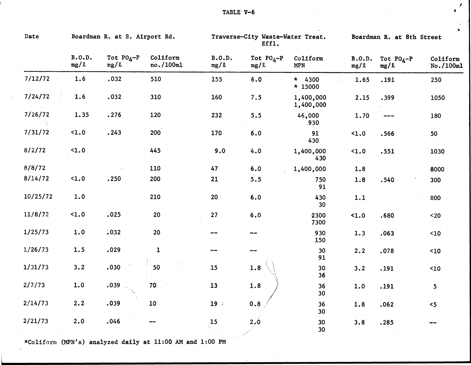$\frac{1}{\sqrt{2}}$ 

 $\tilde{\mathcal{A}}$ 

| Date     |                | Boardman R. at S. Airport Rd. |                       |                | Traverse-City Waste-Water Treat.<br>Eff1. |                        | $\pmb{\lambda}$<br>Boardman R. at 8th Street |                      |                       |  |  |
|----------|----------------|-------------------------------|-----------------------|----------------|-------------------------------------------|------------------------|----------------------------------------------|----------------------|-----------------------|--|--|
|          | B.0.D.<br>mg/l | Tot $PO_4-P$<br>mg/l          | Coliform<br>no./100ml | B.0.D.<br>mg/l | Tot $P0_4-P$<br>mg/l                      | Coliform<br><b>MPN</b> | B.0.D.<br>mg/l                               | Tot $P0_4-P$<br>mg/l | Coliform<br>No./100ml |  |  |
| 7/12/72  | 1.6            | .032                          | 510                   | 155            | 6.0                                       | $* 4300$<br>* 15000    | 1.65                                         | .191                 | 250                   |  |  |
| 7/24/72  | 1.6            | .032                          | 310                   | 160            | 7.5                                       | 1,400,000<br>1,400,000 | 2.15                                         | .399                 | 1050                  |  |  |
| 7/26/72  | 1.35           | .276                          | 120                   | 232            | 5.5                                       | 46,000<br>930          | 1.70                                         | ----                 | 180                   |  |  |
| 7/31/72  | $1.0$          | .243                          | 200                   | 170            | 6.0                                       | 91<br>430              | $1.0$                                        | .566                 | 50                    |  |  |
| 8/2/72   | $1.0$          |                               | 445                   | 9.0            | 4.0                                       | 1,400,000<br>430       | 1.0                                          | .551                 | 1030                  |  |  |
| 8/8/72   |                |                               | 110                   | 47             | 6.0                                       | 1,400,000              | 1.8                                          |                      | 8000                  |  |  |
| 8/14/72  | $-1.0$         | .250                          | 200                   | 21             | 5.5                                       | 750<br>91              | 1.8                                          | .540                 | 300                   |  |  |
| 10/25/72 | 1.0            |                               | 210                   | 20             | 6.0                                       | 430<br>30              | 1.1                                          |                      | 800                   |  |  |
| 11/8/72  | $1.0$          | .025                          | 20                    | 27             | 6.0                                       | 2300<br>7300           | 1.0                                          | .680                 | $20$                  |  |  |
| 1/25/73  | 1.0            | .032                          | 20                    |                |                                           | 930<br>150             | 1.3                                          | .063                 | $10$                  |  |  |
| 1/26/73  | 1.5            | .029                          | $\mathbf{1}$          |                | $\qquad \qquad \cdots$                    | 30 <sub>o</sub><br>91  | 2.2                                          | .078                 | $10$                  |  |  |
| 1/31/73  | 3.2            | .030                          | 50                    | 15             | 1.8                                       | 30<br>36               | 3.2                                          | .191                 | 10                    |  |  |
| 2/7/73   | 1.0            | .039                          | 70                    | 13             | 1.8                                       | 36<br>30               | 1.0                                          | .191                 | 5 <sub>1</sub>        |  |  |
| 2/14/73  | 2.2            | .039                          | 10                    | 19             | 0.8                                       | 36<br>30               | 1.8                                          | .062                 | $5$                   |  |  |
| 2/21/73  | 2.0            | .046                          |                       | 15             | 2, 0                                      | 30<br>30               | 3.8                                          | .285                 |                       |  |  |

\*Coliform (MPN\*s) analyzed daily at 11:00 AM and 1:00 PM